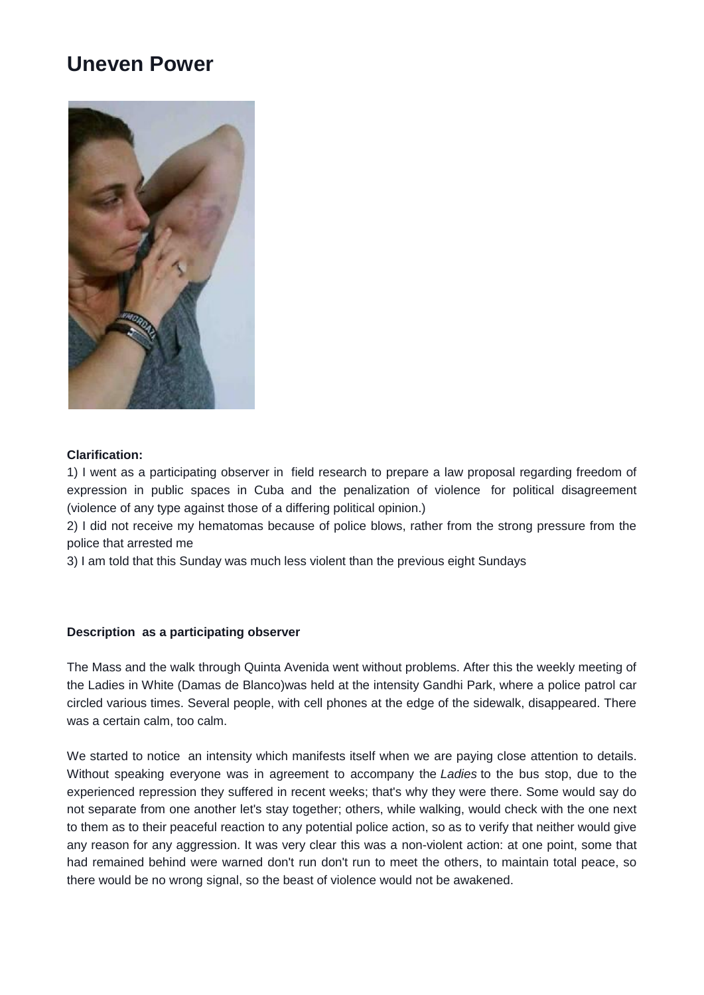## **Uneven Power**



## **Clarification:**

1) I went as a participating observer in field research to prepare a law proposal regarding freedom of expression in public spaces in Cuba and the penalization of violence for political disagreement (violence of any type against those of a differing political opinion.)

2) I did not receive my hematomas because of police blows, rather from the strong pressure from the police that arrested me

3) I am told that this Sunday was much less violent than the previous eight Sundays

## **Description as a participating observer**

The Mass and the walk through Quinta Avenida went without problems. After this the weekly meeting of the Ladies in White (Damas de Blanco)was held at the intensity Gandhi Park, where a police patrol car circled various times. Several people, with cell phones at the edge of the sidewalk, disappeared. There was a certain calm, too calm.

We started to notice an intensity which manifests itself when we are paying close attention to details. Without speaking everyone was in agreement to accompany the *Ladies* to the bus stop, due to the experienced repression they suffered in recent weeks; that's why they were there. Some would say do not separate from one another let's stay together; others, while walking, would check with the one next to them as to their peaceful reaction to any potential police action, so as to verify that neither would give any reason for any aggression. It was very clear this was a non-violent action: at one point, some that had remained behind were warned don't run don't run to meet the others, to maintain total peace, so there would be no wrong signal, so the beast of violence would not be awakened.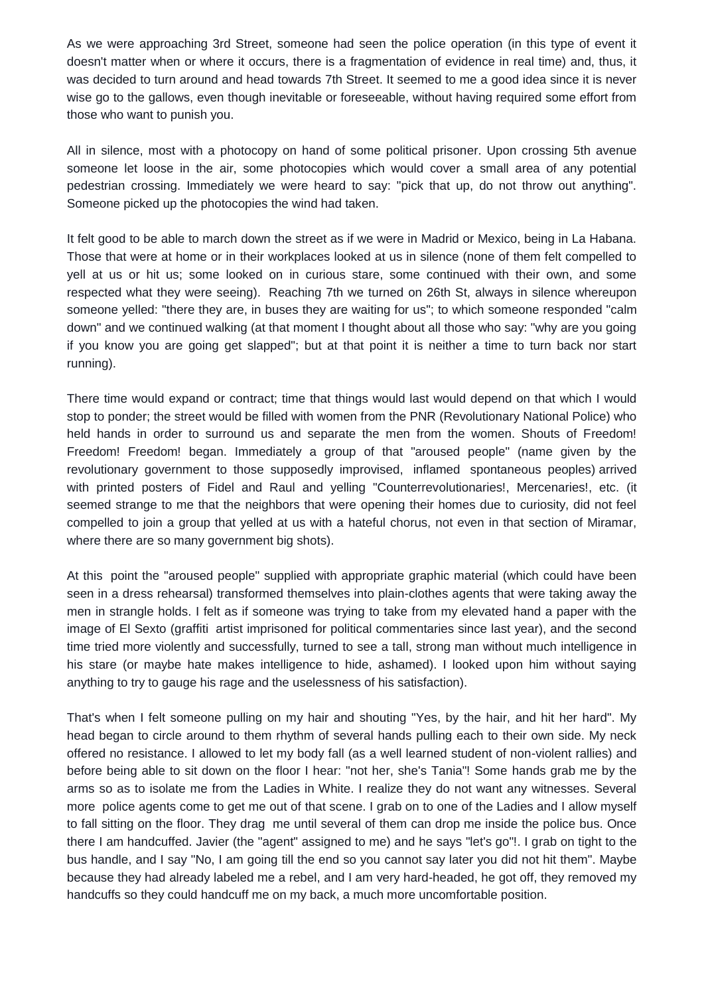As we were approaching 3rd Street, someone had seen the police operation (in this type of event it doesn't matter when or where it occurs, there is a fragmentation of evidence in real time) and, thus, it was decided to turn around and head towards 7th Street. It seemed to me a good idea since it is never wise go to the gallows, even though inevitable or foreseeable, without having required some effort from those who want to punish you.

All in silence, most with a photocopy on hand of some political prisoner. Upon crossing 5th avenue someone let loose in the air, some photocopies which would cover a small area of any potential pedestrian crossing. Immediately we were heard to say: "pick that up, do not throw out anything". Someone picked up the photocopies the wind had taken.

It felt good to be able to march down the street as if we were in Madrid or Mexico, being in La Habana. Those that were at home or in their workplaces looked at us in silence (none of them felt compelled to yell at us or hit us; some looked on in curious stare, some continued with their own, and some respected what they were seeing). Reaching 7th we turned on 26th St, always in silence whereupon someone yelled: "there they are, in buses they are waiting for us"; to which someone responded "calm down" and we continued walking (at that moment I thought about all those who say: "why are you going if you know you are going get slapped"; but at that point it is neither a time to turn back nor start running).

There time would expand or contract; time that things would last would depend on that which I would stop to ponder; the street would be filled with women from the PNR (Revolutionary National Police) who held hands in order to surround us and separate the men from the women. Shouts of Freedom! Freedom! Freedom! began. Immediately a group of that "aroused people" (name given by the revolutionary government to those supposedly improvised, inflamed spontaneous peoples) arrived with printed posters of Fidel and Raul and yelling "Counterrevolutionaries!, Mercenaries!, etc. (it seemed strange to me that the neighbors that were opening their homes due to curiosity, did not feel compelled to join a group that yelled at us with a hateful chorus, not even in that section of Miramar, where there are so many government big shots).

At this point the "aroused people" supplied with appropriate graphic material (which could have been seen in a dress rehearsal) transformed themselves into plain-clothes agents that were taking away the men in strangle holds. I felt as if someone was trying to take from my elevated hand a paper with the image of El Sexto (graffiti artist imprisoned for political commentaries since last year), and the second time tried more violently and successfully, turned to see a tall, strong man without much intelligence in his stare (or maybe hate makes intelligence to hide, ashamed). I looked upon him without saying anything to try to gauge his rage and the uselessness of his satisfaction).

That's when I felt someone pulling on my hair and shouting "Yes, by the hair, and hit her hard". My head began to circle around to them rhythm of several hands pulling each to their own side. My neck offered no resistance. I allowed to let my body fall (as a well learned student of non-violent rallies) and before being able to sit down on the floor I hear: "not her, she's Tania"! Some hands grab me by the arms so as to isolate me from the Ladies in White. I realize they do not want any witnesses. Several more police agents come to get me out of that scene. I grab on to one of the Ladies and I allow myself to fall sitting on the floor. They drag me until several of them can drop me inside the police bus. Once there I am handcuffed. Javier (the "agent" assigned to me) and he says "let's go"!. I grab on tight to the bus handle, and I say "No, I am going till the end so you cannot say later you did not hit them". Maybe because they had already labeled me a rebel, and I am very hard-headed, he got off, they removed my handcuffs so they could handcuff me on my back, a much more uncomfortable position.